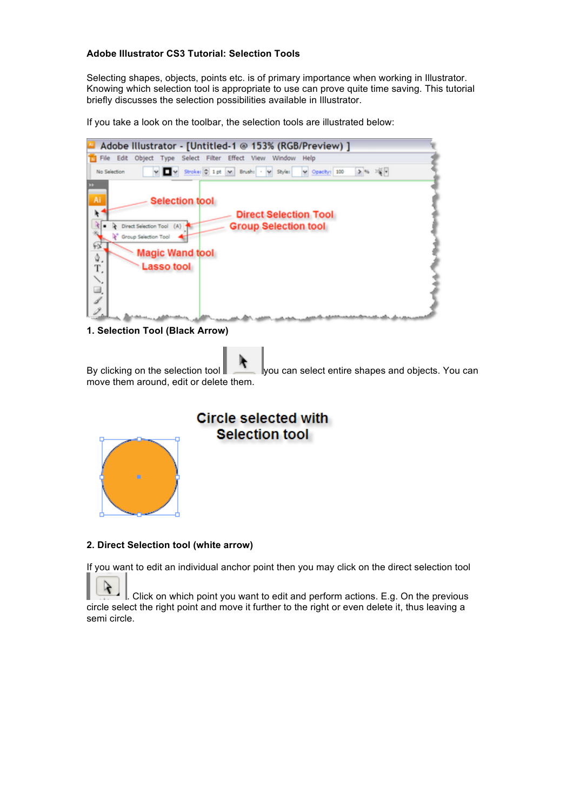## **Adobe Illustrator CS3 Tutorial: Selection Tools**

Selecting shapes, objects, points etc. is of primary importance when working in Illustrator. Knowing which selection tool is appropriate to use can prove quite time saving. This tutorial briefly discusses the selection possibilities available in Illustrator.

If you take a look on the toolbar, the selection tools are illustrated below:



**1. Selection Tool (Black Arrow)**

By clicking on the selection tool you can select entire shapes and objects. You can move them around, edit or delete them.

# **Circle selected with** Selection tool



# **2. Direct Selection tool (white arrow)**

If you want to edit an individual anchor point then you may click on the direct selection tool

. Click on which point you want to edit and perform actions. E.g. On the previous circle select the right point and move it further to the right or even delete it, thus leaving a semi circle.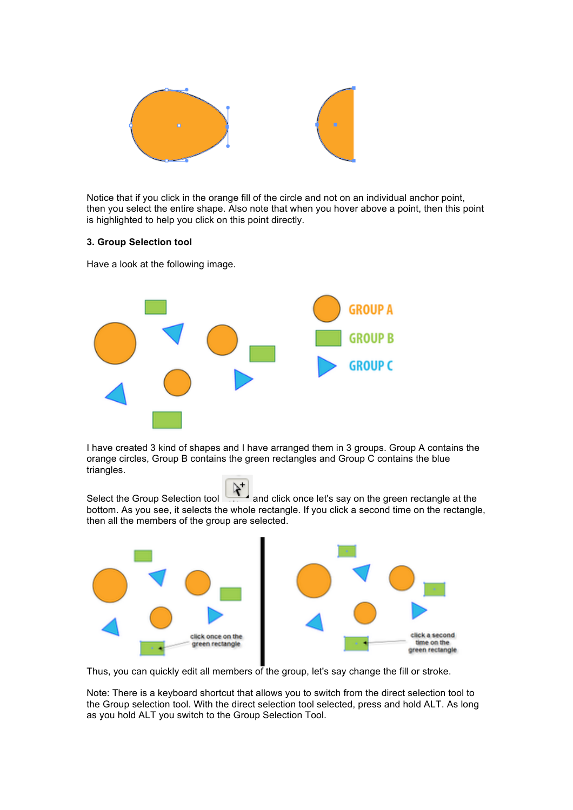

Notice that if you click in the orange fill of the circle and not on an individual anchor point, then you select the entire shape. Also note that when you hover above a point, then this point is highlighted to help you click on this point directly.

## **3. Group Selection tool**

Have a look at the following image.



I have created 3 kind of shapes and I have arranged them in 3 groups. Group A contains the orange circles, Group B contains the green rectangles and Group C contains the blue triangles.

Select the Group Selection tool and click once let's say on the green rectangle at the bottom. As you see, it selects the whole rectangle. If you click a second time on the rectangle, then all the members of the group are selected.



Thus, you can quickly edit all members of the group, let's say change the fill or stroke.

Note: There is a keyboard shortcut that allows you to switch from the direct selection tool to the Group selection tool. With the direct selection tool selected, press and hold ALT. As long as you hold ALT you switch to the Group Selection Tool.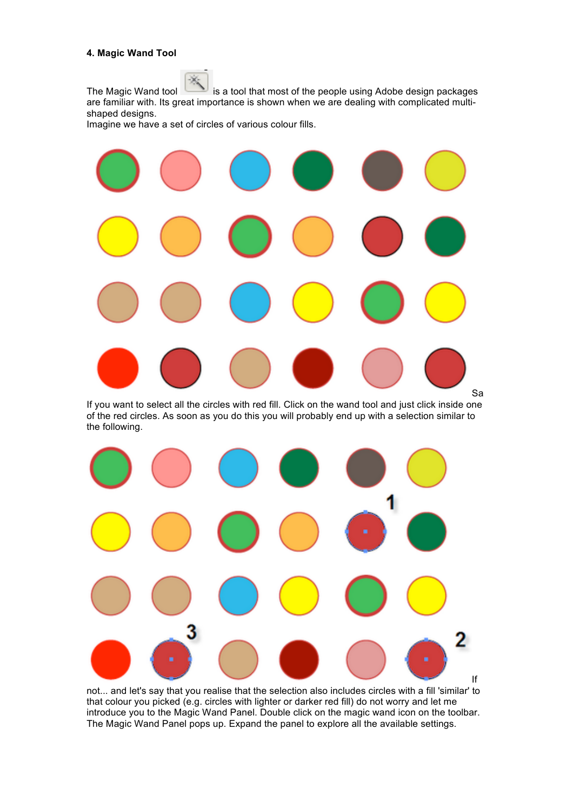#### **4. Magic Wand Tool**

The Magic Wand tool is a tool that most of the people using Adobe design packages are familiar with. Its great importance is shown when we are dealing with complicated multishaped designs.

Imagine we have a set of circles of various colour fills.



If you want to select all the circles with red fill. Click on the wand tool and just click inside one of the red circles. As soon as you do this you will probably end up with a selection similar to the following.



not... and let's say that you realise that the selection also includes circles with a fill 'similar' to that colour you picked (e.g. circles with lighter or darker red fill) do not worry and let me introduce you to the Magic Wand Panel. Double click on the magic wand icon on the toolbar. The Magic Wand Panel pops up. Expand the panel to explore all the available settings.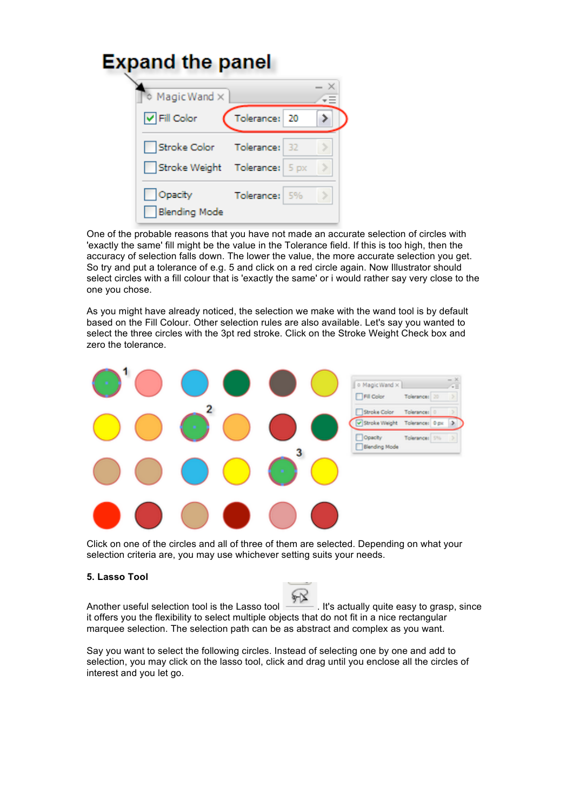| <b>Expand the panel</b>        |                      |                                                                                               |  |
|--------------------------------|----------------------|-----------------------------------------------------------------------------------------------|--|
| $\diamond$ Magic Wand $\times$ |                      |                                                                                               |  |
|                                |                      |                                                                                               |  |
|                                |                      |                                                                                               |  |
|                                |                      |                                                                                               |  |
|                                |                      |                                                                                               |  |
|                                | <b>Blending Mode</b> | Tolerance: 20<br>Stroke Color Tolerance: 32<br>Stroke Weight Tolerance: 5 px<br>Tolerance: 5% |  |

One of the probable reasons that you have not made an accurate selection of circles with 'exactly the same' fill might be the value in the Tolerance field. If this is too high, then the accuracy of selection falls down. The lower the value, the more accurate selection you get. So try and put a tolerance of e.g. 5 and click on a red circle again. Now Illustrator should select circles with a fill colour that is 'exactly the same' or i would rather say very close to the one you chose.

As you might have already noticed, the selection we make with the wand tool is by default based on the Fill Colour. Other selection rules are also available. Let's say you wanted to select the three circles with the 3pt red stroke. Click on the Stroke Weight Check box and zero the tolerance.



Click on one of the circles and all of three of them are selected. Depending on what your selection criteria are, you may use whichever setting suits your needs.

#### **5. Lasso Tool**

Another useful selection tool is the Lasso tool . It's actually quite easy to grasp, since it offers you the flexibility to select multiple objects that do not fit in a nice rectangular marquee selection. The selection path can be as abstract and complex as you want.

Say you want to select the following circles. Instead of selecting one by one and add to selection, you may click on the lasso tool, click and drag until you enclose all the circles of interest and you let go.